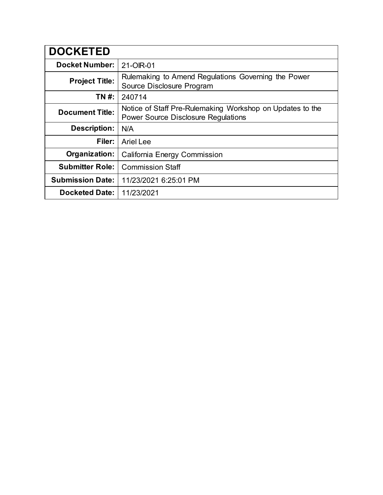| <b>DOCKETED</b>         |                                                                                                         |
|-------------------------|---------------------------------------------------------------------------------------------------------|
| <b>Docket Number:</b>   | 21-OIR-01                                                                                               |
| <b>Project Title:</b>   | Rulemaking to Amend Regulations Governing the Power<br>Source Disclosure Program                        |
| TN #:                   | 240714                                                                                                  |
| <b>Document Title:</b>  | Notice of Staff Pre-Rulemaking Workshop on Updates to the<br><b>Power Source Disclosure Regulations</b> |
| Description:            | N/A                                                                                                     |
| Filer:                  | <b>Ariel Lee</b>                                                                                        |
| Organization:           | California Energy Commission                                                                            |
| <b>Submitter Role:</b>  | <b>Commission Staff</b>                                                                                 |
| <b>Submission Date:</b> | 11/23/2021 6:25:01 PM                                                                                   |
| <b>Docketed Date:</b>   | 11/23/2021                                                                                              |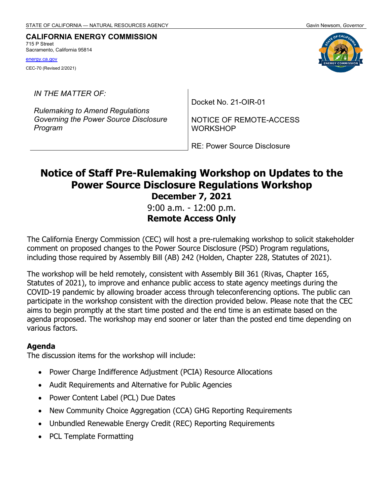#### **CALIFORNIA ENERGY COMMISSION**  715 P Street

Sacramento, California 95814

[energy.ca.gov](http://www.energy.ca.gov/) 

CEC-70 (Revised 2/2021)

*IN THE MATTER OF:* 

*Rulemaking to Amend Regulations Governing the Power Source Disclosure Program* 

Docket No. 21-OIR-01

NOTICE OF REMOTE-ACCESS WORKSHOP

RE: Power Source Disclosure

# **Notice of Staff Pre-Rulemaking Workshop on Updates to the Power Source Disclosure Regulations Workshop December 7, 2021**

 9:00 a.m. - 12:00 p.m. **Remote Access Only** 

 The California Energy Commission (CEC) will host a pre-rulemaking workshop to solicit stakeholder comment on proposed changes to the Power Source Disclosure (PSD) Program regulations, including those required by Assembly Bill (AB) 242 (Holden, Chapter 228, Statutes of 2021).

 The workshop will be held remotely, consistent with Assembly Bill 361 (Rivas, Chapter 165, Statutes of 2021), to improve and enhance public access to state agency meetings during the COVID-19 pandemic by allowing broader access through teleconferencing options. The public can participate in the workshop consistent with the direction provided below. Please note that the CEC aims to begin promptly at the start time posted and the end time is an estimate based on the agenda proposed. The workshop may end sooner or later than the posted end time depending on various factors.

## **Agenda**

The discussion items for the workshop will include:

- Power Charge Indifference Adjustment (PCIA) Resource Allocations
- Audit Requirements and Alternative for Public Agencies
- Power Content Label (PCL) Due Dates
- New Community Choice Aggregation (CCA) GHG Reporting Requirements
- Unbundled Renewable Energy Credit (REC) Reporting Requirements
- PCL Template Formatting

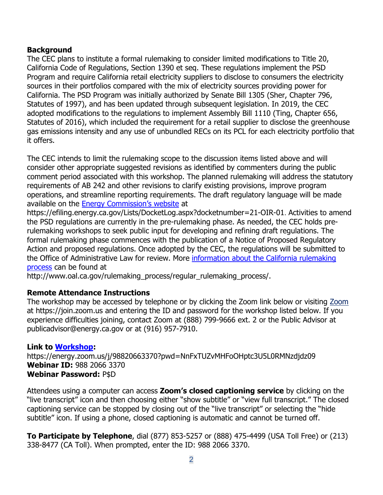## **Background**

 The CEC plans to institute a formal rulemaking to consider limited modifications to Title 20, California Code of Regulations, Section 1390 et seq. These regulations implement the PSD Program and require California retail electricity suppliers to disclose to consumers the electricity sources in their portfolios compared with the mix of electricity sources providing power for California. The PSD Program was initially authorized by Senate Bill 1305 (Sher, Chapter 796, Statutes of 1997), and has been updated through subsequent legislation. In 2019, the CEC adopted modifications to the regulations to implement Assembly Bill 1110 (Ting, Chapter 656, Statutes of 2016), which included the requirement for a retail supplier to disclose the greenhouse gas emissions intensity and any use of unbundled RECs on its PCL for each electricity portfolio that it offers.

 The CEC intends to limit the rulemaking scope to the discussion items listed above and will consider other appropriate suggested revisions as identified by commenters during the public comment period associated with this workshop. The planned rulemaking will address the statutory requirements of AB 242 and other revisions to clarify existing provisions, improve program operations, and streamline reporting requirements. The draft regulatory language will be made available on the <u>Energy Commission's website</u> at

 <https://efiling.energy.ca.gov/Lists/DocketLog.aspx?docketnumber=21-OIR-01>. Activities to amend the PSD regulations are currently in the pre-rulemaking phase. As needed, the CEC holds pre- rulemaking workshops to seek public input for developing and refining draft regulations. The formal rulemaking phase commences with the publication of a Notice of Proposed Regulatory Action and proposed regulations. Once adopted by the CEC, the regulations will be submitted to the Office of Administrative Law for review. More <u>information about the California rulemaking</u> [process](http://www.oal.ca.gov/rulemaking_process/regular_rulemaking_process/) can be found at

[http://www.oal.ca.gov/rulemaking\\_process/regular\\_rulemaking\\_process](http://www.oal.ca.gov/rulemaking_process/regular_rulemaking_process)/.

## **Remote Attendance Instructions**

The workshop may be accessed by telephone or by clicking the [Zoom](https://join.zoom.us/) link below or visiting <u>Zoom</u> at<https://join.zoom.us> and entering the ID and password for the workshop listed below. If you experience difficulties joining, contact Zoom at (888) 799-9666 ext. 2 or the Public Advisor at [publicadvisor@energy.ca.gov](mailto:publicadvisor@energy.ca.gov) or at (916) 957-7910.

## **Link to [Workshop:](https://energy.zoom.us/j/98820663370?pwd=NnFxTUZvMHFoOHptc3U5L0RMNzdjdz09)**

 **Webinar Password:** P\$D <https://energy.zoom.us/j/98820663370?pwd=NnFxTUZvMHFoOHptc3U5L0RMNzdjdz09> **Webinar ID:** 988 2066 3370

 Attendees using a computer can access **Zoom's closed captioning service** by clicking on the "live transcript" icon and then choosing either "show subtitle" or "view full transcript." The closed captioning service can be stopped by closing out of the "live transcript" or selecting the "hide subtitle" icon. If using a phone, closed captioning is automatic and cannot be turned off.

 **To Participate by Telephone**, dial (877) 853-5257 or (888) 475-4499 (USA Toll Free) or (213) 338-8477 (CA Toll). When prompted, enter the ID: 988 2066 3370.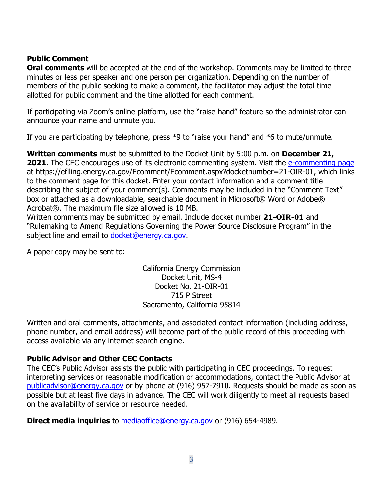## **Public Comment**

 **Oral comments** will be accepted at the end of the workshop. Comments may be limited to three minutes or less per speaker and one person per organization. Depending on the number of members of the public seeking to make a comment, the facilitator may adjust the total time allotted for public comment and the time allotted for each comment.

 If participating via Zoom's online platform, use the "raise hand" feature so the administrator can announce your name and unmute you.

If you are participating by telephone, press \*9 to "raise your hand" and \*6 to mute/unmute.

 **Written comments** must be submitted to the Docket Unit by 5:00 p.m. on **December 21, 2021**. The CEC encourages use of its electronic commenting system. Visit the [e-commenting page](https://efiling.energy.ca.gov/Ecomment/Ecomment.aspx?docketnumber=21-OIR-01)  to the comment page for this docket. Enter your contact information and a comment title describing the subject of your comment(s). Comments may be included in the "Comment Text" box or attached as a downloadable, searchable document in Microsoft® Word or Adobe® Acrobat®. The maximum file size allowed is 10 MB. at [https://efiling.energy.ca.gov/Ecomment/Ecomment.aspx?docketnumber=21-OIR-01,](https://efiling.energy.ca.gov/Ecomment/Ecomment.aspx?docketnumber=21-OIR-01) which links

 Written comments may be submitted by email. Include docket number **21-OIR-01** and "Rulemaking to Amend Regulations Governing the Power Source Disclosure Program" in the subject line and email to <u>docket@energy.ca.gov</u>.

A paper copy may be sent to:

 715 P Street Sacramento, California 95814 California Energy Commission Docket Unit, MS-4 Docket No. 21-OIR-01

 phone number, and email address) will become part of the public record of this proceeding with access available via any internet search engine. Written and oral comments, attachments, and associated contact information (including address,

## **Public Advisor and Other CEC Contacts**

 The CEC's Public Advisor assists the public with participating in CEC proceedings. To request interpreting services or reasonable modification or accommodations, contact the Public Advisor at [publicadvisor@energy.ca.gov](mailto:publicadvisor@energy.ca.gov) or by phone at (916) 957-7910. Requests should be made as soon as possible but at least five days in advance. The CEC will work diligently to meet all requests based on the availability of service or resource needed.

**Direct media inquiries** to [mediaoffice@energy.ca.gov](mailto:mediaoffice@energy.ca.gov) or (916) 654-4989.